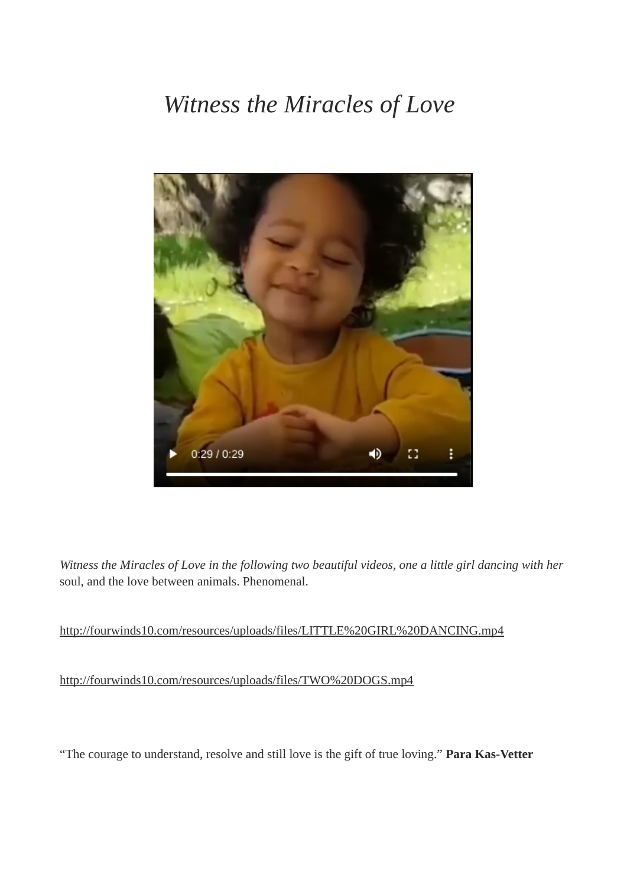## *Witness the Miracles of Love*



*Witness the Miracles of Love in the following two beautiful videos, one a little girl dancing with her* soul, and the love between animals. Phenomenal.

## <http://fourwinds10.com/resources/uploads/files/LITTLE%20GIRL%20DANCING.mp4>

<http://fourwinds10.com/resources/uploads/files/TWO%20DOGS.mp4>

"The courage to understand, resolve and still love is the gift of true loving." **Para Kas-Vetter**